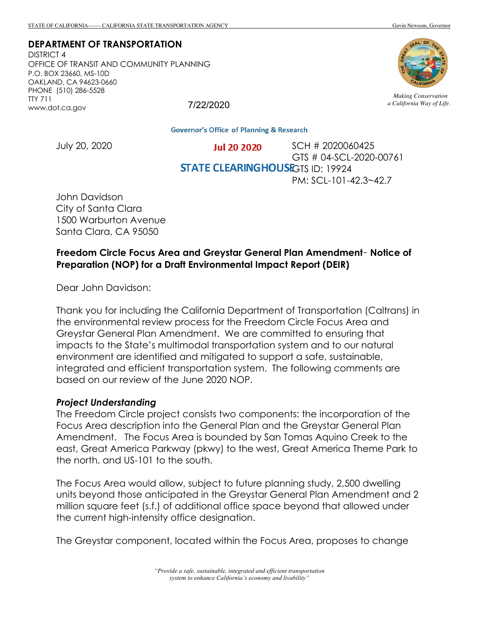### **DEPARTMENT OF TRANSPORTATION**

DISTRICT 4 OFFICE OF TRANSIT AND COMMUNITY PLANNING P.O. BOX 23660, MS-10D OAKLAND, CA 94623-0660 PHONE (510) 286-5528 TTY 711 www.dot.ca.gov 7/22/2020



*Making Conservation a California Way of Life.*

**Governor's Office of Planning & Research** 

July 20, 2020

SCH # 2020060425 **Jul 20 2020** GTS # 04-SCL-2020-00761 **STATE CLEARINGHOUSE**GTS ID: 19924 PM: SCL-101-42.3~42.7

John Davidson City of Santa Clara 1500 Warburton Avenue Santa Clara, CA 95050

## **Freedom Circle Focus Area and Greystar General Plan Amendment**– **Notice of Preparation (NOP) for a Draft Environmental Impact Report (DEIR)**

Dear John Davidson:

Thank you for including the California Department of Transportation (Caltrans) in the environmental review process for the Freedom Circle Focus Area and Greystar General Plan Amendment. We are committed to ensuring that impacts to the State's multimodal transportation system and to our natural environment are identified and mitigated to support a safe, sustainable, integrated and efficient transportation system. The following comments are based on our review of the June 2020 NOP.

#### *Project Understanding*

The Freedom Circle project consists two components: the incorporation of the Focus Area description into the General Plan and the Greystar General Plan Amendment. The Focus Area is bounded by San Tomas Aquino Creek to the east, Great America Parkway (pkwy) to the west, Great America Theme Park to the north, and US-101 to the south.

The Focus Area would allow, subject to future planning study, 2,500 dwelling units beyond those anticipated in the Greystar General Plan Amendment and 2 million square feet (s.f.) of additional office space beyond that allowed under the current high-intensity office designation.

The Greystar component, located within the Focus Area, proposes to change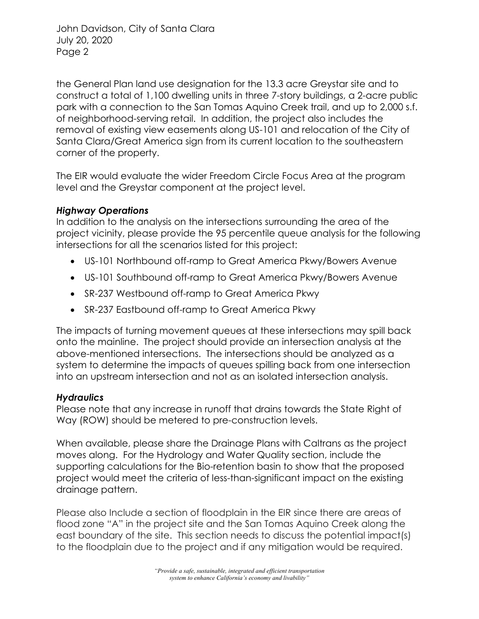John Davidson, City of Santa Clara July 20, 2020 Page 2

the General Plan land use designation for the 13.3 acre Greystar site and to construct a total of 1,100 dwelling units in three 7-story buildings, a 2-acre public park with a connection to the San Tomas Aquino Creek trail, and up to 2,000 s.f. of neighborhood-serving retail. In addition, the project also includes the removal of existing view easements along US-101 and relocation of the City of Santa Clara/Great America sign from its current location to the southeastern corner of the property.

The EIR would evaluate the wider Freedom Circle Focus Area at the program level and the Greystar component at the project level.

# *Highway Operations*

In addition to the analysis on the intersections surrounding the area of the project vicinity, please provide the 95 percentile queue analysis for the following intersections for all the scenarios listed for this project:

- US-101 Northbound off-ramp to Great America Pkwy/Bowers Avenue
- US-101 Southbound off-ramp to Great America Pkwy/Bowers Avenue
- SR-237 Westbound off-ramp to Great America Pkwy
- SR-237 Eastbound off-ramp to Great America Pkwy

The impacts of turning movement queues at these intersections may spill back onto the mainline. The project should provide an intersection analysis at the above-mentioned intersections. The intersections should be analyzed as a system to determine the impacts of queues spilling back from one intersection into an upstream intersection and not as an isolated intersection analysis.

# *Hydraulics*

Please note that any increase in runoff that drains towards the State Right of Way (ROW) should be metered to pre-construction levels.

When available, please share the Drainage Plans with Caltrans as the project moves along. For the Hydrology and Water Quality section, include the supporting calculations for the Bio-retention basin to show that the proposed project would meet the criteria of less-than-significant impact on the existing drainage pattern.

Please also Include a section of floodplain in the EIR since there are areas of flood zone "A" in the project site and the San Tomas Aquino Creek along the east boundary of the site. This section needs to discuss the potential impact(s) to the floodplain due to the project and if any mitigation would be required.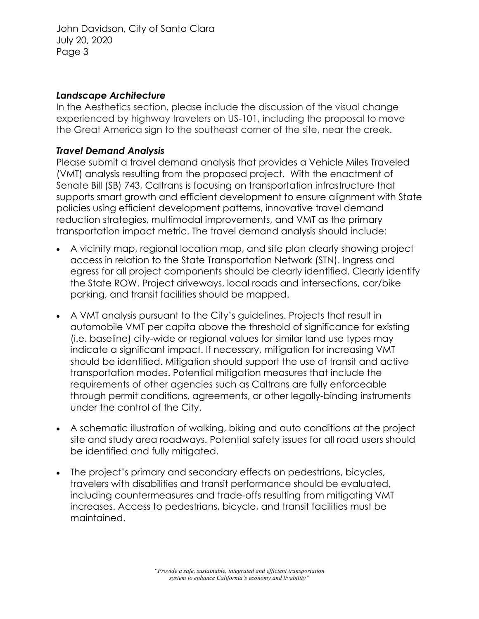John Davidson, City of Santa Clara July 20, 2020 Page 3

### *Landscape Architecture*

In the Aesthetics section, please include the discussion of the visual change experienced by highway travelers on US-101, including the proposal to move the Great America sign to the southeast corner of the site, near the creek.

# *Travel Demand Analysis*

Please submit a travel demand analysis that provides a Vehicle Miles Traveled (VMT) analysis resulting from the proposed project. With the enactment of Senate Bill (SB) 743, Caltrans is focusing on transportation infrastructure that supports smart growth and efficient development to ensure alignment with State policies using efficient development patterns, innovative travel demand reduction strategies, multimodal improvements, and VMT as the primary transportation impact metric. The travel demand analysis should include:

- A vicinity map, regional location map, and site plan clearly showing project access in relation to the State Transportation Network (STN). Ingress and egress for all project components should be clearly identified. Clearly identify the State ROW. Project driveways, local roads and intersections, car/bike parking, and transit facilities should be mapped.
- A VMT analysis pursuant to the City's guidelines. Projects that result in automobile VMT per capita above the threshold of significance for existing (i.e. baseline) city-wide or regional values for similar land use types may indicate a significant impact. If necessary, mitigation for increasing VMT should be identified. Mitigation should support the use of transit and active transportation modes. Potential mitigation measures that include the requirements of other agencies such as Caltrans are fully enforceable through permit conditions, agreements, or other legally-binding instruments under the control of the City.
- A schematic illustration of walking, biking and auto conditions at the project site and study area roadways. Potential safety issues for all road users should be identified and fully mitigated.
- The project's primary and secondary effects on pedestrians, bicycles, travelers with disabilities and transit performance should be evaluated, including countermeasures and trade-offs resulting from mitigating VMT increases. Access to pedestrians, bicycle, and transit facilities must be maintained.